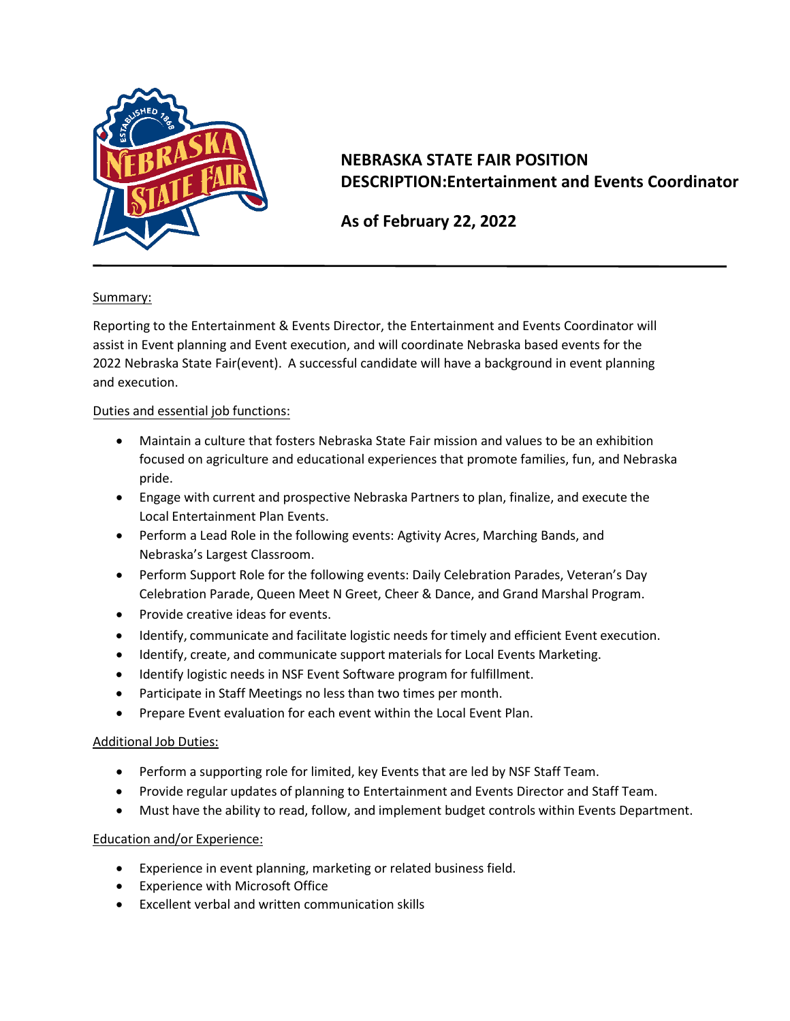

# **NEBRASKA STATE FAIR POSITION DESCRIPTION:Entertainment and Events Coordinator**

## **As of February 22, 2022**

#### Summary:

Reporting to the Entertainment & Events Director, the Entertainment and Events Coordinator will assist in Event planning and Event execution, and will coordinate Nebraska based events for the 2022 Nebraska State Fair(event). A successful candidate will have a background in event planning and execution.

#### Duties and essential job functions:

- Maintain a culture that fosters Nebraska State Fair mission and values to be an exhibition focused on agriculture and educational experiences that promote families, fun, and Nebraska pride.
- Engage with current and prospective Nebraska Partners to plan, finalize, and execute the Local Entertainment Plan Events.
- Perform a Lead Role in the following events: Agtivity Acres, Marching Bands, and Nebraska's Largest Classroom.
- Perform Support Role for the following events: Daily Celebration Parades, Veteran's Day Celebration Parade, Queen Meet N Greet, Cheer & Dance, and Grand Marshal Program.
- Provide creative ideas for events.
- Identify, communicate and facilitate logistic needs for timely and efficient Event execution.
- Identify, create, and communicate support materials for Local Events Marketing.
- Identify logistic needs in NSF Event Software program for fulfillment.
- Participate in Staff Meetings no less than two times per month.
- Prepare Event evaluation for each event within the Local Event Plan.

#### Additional Job Duties:

- Perform a supporting role for limited, key Events that are led by NSF Staff Team.
- Provide regular updates of planning to Entertainment and Events Director and Staff Team.
- Must have the ability to read, follow, and implement budget controls within Events Department.

#### Education and/or Experience:

- Experience in event planning, marketing or related business field.
- Experience with Microsoft Office
- Excellent verbal and written communication skills